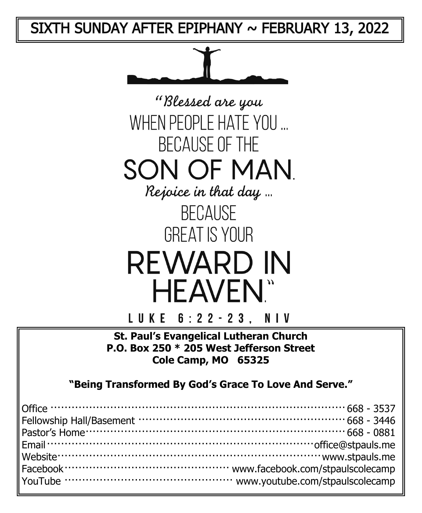SIXTH SUNDAY AFTER EPIPHANY  $\sim$  FEBRUARY 13, 2022



"Blessed are you WHEN PEOPLE HATE YOU ... **BECAUSE OF THE** SON OF MAN Rejoice in that day ... **BECAUSE GREAT IS YOUR** 

**REWARD IN HEAVEN**"

LUKE 6:22-23. NIV

**St. Paul's Evangelical Lutheran Church P.O. Box 250 \* 205 West Jefferson Street Cole Camp, MO 65325**

**"Being Transformed By God's Grace To Love And Serve."**

| Office $\cdots$ 668 - 3537 |  |
|----------------------------|--|
|                            |  |
|                            |  |
|                            |  |
|                            |  |
|                            |  |
|                            |  |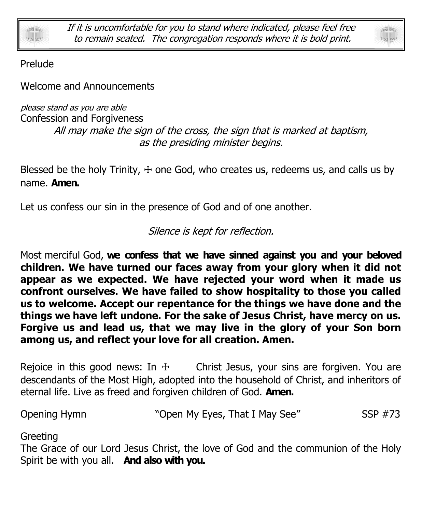

If it is uncomfortable for you to stand where indicated, please feel free to remain seated. The congregation responds where it is bold print.



Prelude

Welcome and Announcements

please stand as you are able Confession and Forgiveness All may make the sign of the cross, the sign that is marked at baptism, as the presiding minister begins.

Blessed be the holy Trinity,  $+$  one God, who creates us, redeems us, and calls us by name. **Amen.**

Let us confess our sin in the presence of God and of one another.

Silence is kept for reflection.

Most merciful God, **we confess that we have sinned against you and your beloved children. We have turned our faces away from your glory when it did not appear as we expected. We have rejected your word when it made us confront ourselves. We have failed to show hospitality to those you called us to welcome. Accept our repentance for the things we have done and the things we have left undone. For the sake of Jesus Christ, have mercy on us. Forgive us and lead us, that we may live in the glory of your Son born among us, and reflect your love for all creation. Amen.**

Rejoice in this good news: In  $\pm$  Christ Jesus, your sins are forgiven. You are descendants of the Most High, adopted into the household of Christ, and inheritors of eternal life. Live as freed and forgiven children of God. **Amen.**

Opening Hymn "Open My Eyes, That I May See" SSP #73

Greeting

The Grace of our Lord Jesus Christ, the love of God and the communion of the Holy Spirit be with you all. **And also with you.**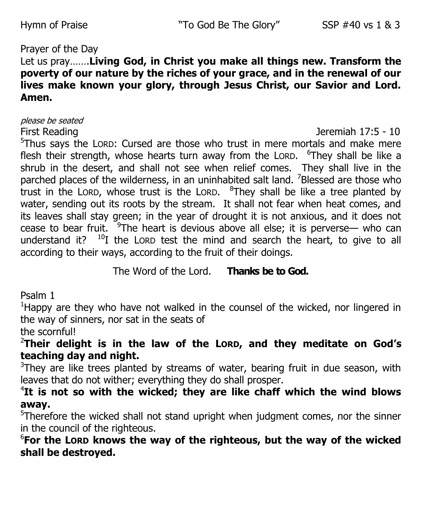### Prayer of the Day

## Let us pray…….**Living God, in Christ you make all things new. Transform the poverty of our nature by the riches of your grace, and in the renewal of our lives make known your glory, through Jesus Christ, our Savior and Lord. Amen.**

please be seated

First Reading Jeremiah 17:5 - 10

<sup>5</sup>Thus says the LORD: Cursed are those who trust in mere mortals and make mere flesh their strength, whose hearts turn away from the LORD. <sup>6</sup>They shall be like a shrub in the desert, and shall not see when relief comes. They shall live in the parched places of the wilderness, in an uninhabited salt land. <sup>7</sup>Blessed are those who trust in the LORD, whose trust is the LORD.  $8$ They shall be like a tree planted by water, sending out its roots by the stream. It shall not fear when heat comes, and its leaves shall stay green; in the year of drought it is not anxious, and it does not cease to bear fruit.  $9$ The heart is devious above all else; it is perverse— who can understand it?  $10I$  the LORD test the mind and search the heart, to give to all according to their ways, according to the fruit of their doings.

The Word of the Lord. **Thanks be to God.**

Psalm 1

<sup>1</sup>Happy are they who have not walked in the counsel of the wicked, nor lingered in the way of sinners, nor sat in the seats of

the scornful!

<sup>2</sup>**Their delight is in the law of the LORD, and they meditate on God's teaching day and night.**

 $3$ They are like trees planted by streams of water, bearing fruit in due season, with leaves that do not wither; everything they do shall prosper.

4 **It is not so with the wicked; they are like chaff which the wind blows away.**

<sup>5</sup>Therefore the wicked shall not stand upright when judgment comes, nor the sinner in the council of the righteous.

6 **For the LORD knows the way of the righteous, but the way of the wicked shall be destroyed.**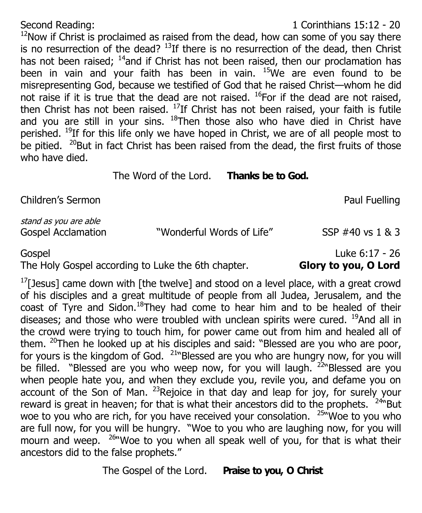## Second Reading: 1 Corinthians 15:12 - 20

 $12$ Now if Christ is proclaimed as raised from the dead, how can some of you say there is no resurrection of the dead?  $^{13}$ If there is no resurrection of the dead, then Christ has not been raised;  $14$  and if Christ has not been raised, then our proclamation has been in vain and your faith has been in vain.  $15$ We are even found to be misrepresenting God, because we testified of God that he raised Christ—whom he did not raise if it is true that the dead are not raised.  $^{16}$ For if the dead are not raised, then Christ has not been raised.  $^{17}$ If Christ has not been raised, your faith is futile and you are still in your sins.  $18$ Then those also who have died in Christ have perished. <sup>19</sup>If for this life only we have hoped in Christ, we are of all people most to be pitied.  $20B$ ut in fact Christ has been raised from the dead, the first fruits of those who have died.

The Word of the Lord. **Thanks be to God.**

Children's Sermon **Paul Fuelling** 

stand as you are able

The Holy Gospel according to Luke the 6th chapter. **Glory to you, O Lord**

 $1$ <sup>T</sup>[Jesus] came down with [the twelve] and stood on a level place, with a great crowd of his disciples and a great multitude of people from all Judea, Jerusalem, and the coast of Tyre and Sidon.<sup>18</sup>They had come to hear him and to be healed of their diseases; and those who were troubled with unclean spirits were cured.  $^{19}$ And all in the crowd were trying to touch him, for power came out from him and healed all of them.  $20$ Then he looked up at his disciples and said: "Blessed are you who are poor, for yours is the kingdom of God.  $21$ <sup>N</sup>Blessed are you who are hungry now, for you will be filled. "Blessed are you who weep now, for you will laugh. <sup>22</sup> Blessed are you when people hate you, and when they exclude you, revile you, and defame you on account of the Son of Man. <sup>23</sup>Rejoice in that day and leap for joy, for surely your reward is great in heaven; for that is what their ancestors did to the prophets. <sup>24N</sup>But woe to you who are rich, for you have received your consolation. <sup>25N</sup>Woe to you who are full now, for you will be hungry. "Woe to you who are laughing now, for you will mourn and weep. <sup>26</sup> Woe to you when all speak well of you, for that is what their ancestors did to the false prophets."

The Gospel of the Lord. **Praise to you, O Christ**

## Gospel Luke 6:17 - 26

# Gospel Acclamation "Wonderful Words of Life" SSP #40 vs 1 & 3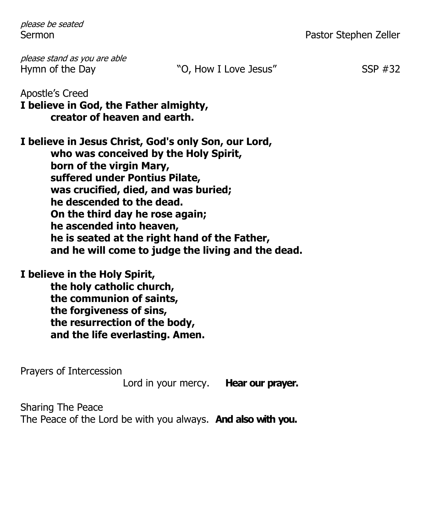please be seated

Sermon **Pastor Stephen Zeller** 

please stand as you are able Hymn of the Day "O, How I Love Jesus" SSP #32

Apostle's Creed **I believe in God, the Father almighty, creator of heaven and earth.**

**I believe in Jesus Christ, God's only Son, our Lord, who was conceived by the Holy Spirit, born of the virgin Mary, suffered under Pontius Pilate, was crucified, died, and was buried; he descended to the dead. On the third day he rose again; he ascended into heaven, he is seated at the right hand of the Father, and he will come to judge the living and the dead.**

**I believe in the Holy Spirit, the holy catholic church, the communion of saints, the forgiveness of sins, the resurrection of the body,**

**and the life everlasting. Amen.**

Prayers of Intercession

Lord in your mercy. **Hear our prayer.**

Sharing The Peace

The Peace of the Lord be with you always. **And also with you.**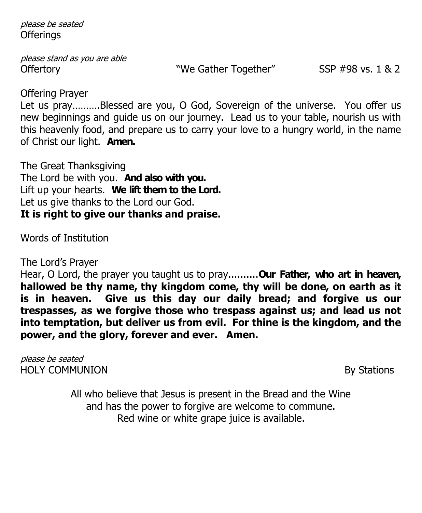please be seated **Offerings** 

please stand as you are able Offertory We Gather Together" SSP #98 vs. 1 & 2

Offering Prayer

Let us pray……….Blessed are you, O God, Sovereign of the universe. You offer us new beginnings and guide us on our journey. Lead us to your table, nourish us with this heavenly food, and prepare us to carry your love to a hungry world, in the name of Christ our light. **Amen.**

The Great Thanksgiving The Lord be with you. **And also with you.** Lift up your hearts. **We lift them to the Lord.** Let us give thanks to the Lord our God. **It is right to give our thanks and praise.**

Words of Institution

The Lord's Prayer

Hear, O Lord, the prayer you taught us to pray..........**Our Father, who art in heaven, hallowed be thy name, thy kingdom come, thy will be done, on earth as it is in heaven. Give us this day our daily bread; and forgive us our trespasses, as we forgive those who trespass against us; and lead us not into temptation, but deliver us from evil. For thine is the kingdom, and the power, and the glory, forever and ever. Amen.**

please be seated HOLY COMMUNION By Stations

All who believe that Jesus is present in the Bread and the Wine and has the power to forgive are welcome to commune. Red wine or white grape juice is available.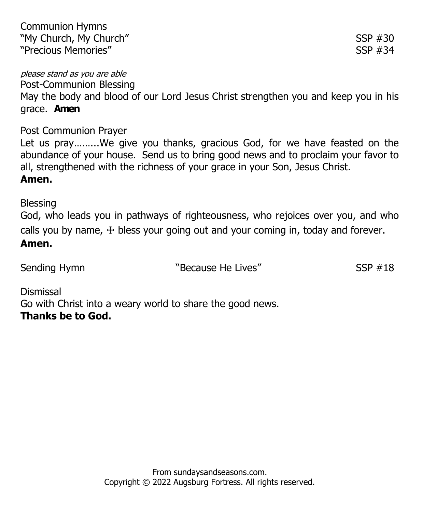Post-Communion Blessing May the body and blood of our Lord Jesus Christ strengthen you and keep you in his grace. **Amen**

Post Communion Prayer

Let us pray……...We give you thanks, gracious God, for we have feasted on the abundance of your house. Send us to bring good news and to proclaim your favor to all, strengthened with the richness of your grace in your Son, Jesus Christ.

## **Amen.**

Blessing God, who leads you in pathways of righteousness, who rejoices over you, and who calls you by name,  $+$  bless your going out and your coming in, today and forever. **Amen.**

Sending Hymn **Supering Sending Hymn** SSP #18

Dismissal Go with Christ into a weary world to share the good news. **Thanks be to God.**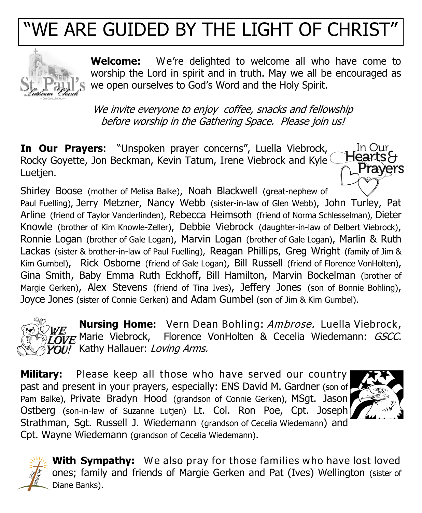## WE ARE GUIDED BY THE LIGHT OF CHRIST



**Welcome:** We're delighted to welcome all who have come to worship the Lord in spirit and in truth. May we all be encouraged as we open ourselves to God's Word and the Holy Spirit.

We invite everyone to enjoy coffee, snacks and fellowship before worship in the Gathering Space. Please join us!

**In Our Prayers**: "Unspoken prayer concerns", Luella Viebrock, HeartsH Rocky Goyette, Jon Beckman, Kevin Tatum, Irene Viebrock and Kyle Luetjen.

Shirley Boose (mother of Melisa Balke), Noah Blackwell (great-nephew of Paul Fuelling), Jerry Metzner, Nancy Webb (sister-in-law of Glen Webb), John Turley, Pat Arline (friend of Taylor Vanderlinden), Rebecca Heimsoth (friend of Norma Schlesselman), Dieter Knowle (brother of Kim Knowle-Zeller), Debbie Viebrock (daughter-in-law of Delbert Viebrock), Ronnie Logan (brother of Gale Logan), Marvin Logan (brother of Gale Logan), Marlin & Ruth Lackas (sister & brother-in-law of Paul Fuelling), Reagan Phillips, Greg Wright (family of Jim & Kim Gumbel), Rick Osborne (friend of Gale Logan), Bill Russell (friend of Florence VonHolten), Gina Smith, Baby Emma Ruth Eckhoff, Bill Hamilton, Marvin Bockelman (brother of Margie Gerken), Alex Stevens (friend of Tina Ives), Jeffery Jones (son of Bonnie Bohling), Joyce Jones (sister of Connie Gerken) and Adam Gumbel (son of Jim & Kim Gumbel).

**Nursing Home:** Vern Dean Bohling: Ambrose. Luella Viebrock,  $\overline{\mathcal{O}}$ VE Marie Viebrock, Florence VonHolten & Cecelia Wiedemann: *GSCC.*  $\overline{YO}\overline{U}$ , Kathy Hallauer: Loving Arms.

**Military:** Please keep all those who have served our country past and present in your prayers, especially: ENS David M. Gardner (son of Pam Balke), Private Bradyn Hood (grandson of Connie Gerken), MSgt. Jason Ostberg (son-in-law of Suzanne Lutjen) Lt. Col. Ron Poe, Cpt. Joseph Strathman, Sgt. Russell J. Wiedemann (grandson of Cecelia Wiedemann) and Cpt. Wayne Wiedemann (grandson of Cecelia Wiedemann).



In Our

Prayers



**With Sympathy:** We also pray for those families who have lost loved ones; family and friends of Margie Gerken and Pat (Ives) Wellington (sister of Diane Banks).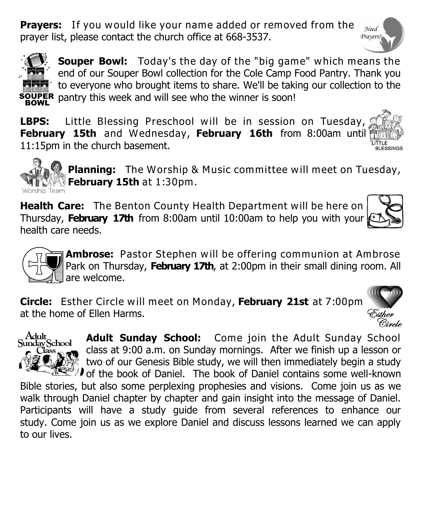**Prayers:** If you would like your name added or removed from the prayer list, please contact the church office at 668-3537.





**Souper Bowl:** Today's the day of the "big game" which means the end of our Souper Bowl collection for the Cole Camp Food Pantry. Thank you to everyone who brought items to share. We'll be taking our collection to the pantry this week and will see who the winner is soon!

**LBPS:** Little Blessing Preschool will be in session on Tuesday, **February 15th** and Wednesday, **February 16th** from 8:00am until 11:15pm in the church basement. **BLESSINGS** 



**Planning:** The Worship & Music committee will meet on Tuesday, **February 15th** at 1:30pm.

**Health Care:** The Benton County Health Department will be here on Thursday, **February 17th** from 8:00am until 10:00am to help you with your health care needs.

**Ambrose:** Pastor Stephen will be offering communion at Ambrose Park on Thursday, February 17th, at 2:00pm in their small dining room. All are welcome.

**Circle:** Esther Circle will meet on Monday, **February 21st** at 7:00pm at the home of Ellen Harms.



**Adult Sunday School:** Come join the Adult Sunday School class at 9:00 a.m. on Sunday mornings. After we finish up a lesson or two of our Genesis Bible study, we will then immediately begin a study of the book of Daniel. The book of Daniel contains some well-known

Bible stories, but also some perplexing prophesies and visions. Come join us as we walk through Daniel chapter by chapter and gain insight into the message of Daniel. Participants will have a study guide from several references to enhance our study. Come join us as we explore Daniel and discuss lessons learned we can apply to our lives.



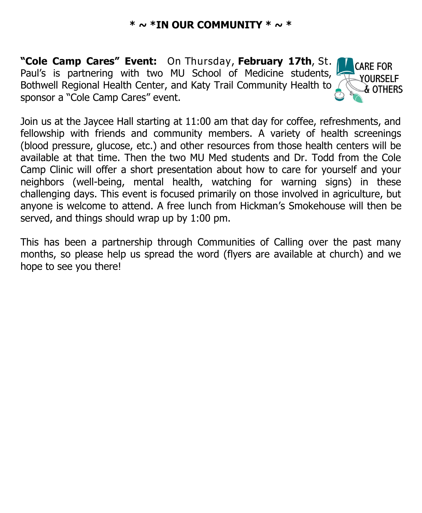### **\* ~ \*IN OUR COMMUNITY \* ~ \***

**"Cole Camp Cares" Event:** On Thursday, **February 17th**, St. Paul's is partnering with two MU School of Medicine students, Bothwell Regional Health Center, and Katy Trail Community Health to sponsor a "Cole Camp Cares" event.



Join us at the Jaycee Hall starting at 11:00 am that day for coffee, refreshments, and fellowship with friends and community members. A variety of health screenings (blood pressure, glucose, etc.) and other resources from those health centers will be available at that time. Then the two MU Med students and Dr. Todd from the Cole Camp Clinic will offer a short presentation about how to care for yourself and your neighbors (well-being, mental health, watching for warning signs) in these challenging days. This event is focused primarily on those involved in agriculture, but anyone is welcome to attend. A free lunch from Hickman's Smokehouse will then be served, and things should wrap up by 1:00 pm.

This has been a partnership through Communities of Calling over the past many months, so please help us spread the word (flyers are available at church) and we hope to see you there!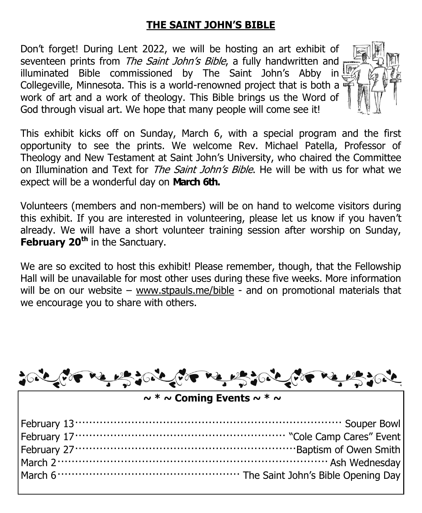## **THE SAINT JOHN'S BIBLE**

Don't forget! During Lent 2022, we will be hosting an art exhibit of seventeen prints from The Saint John's Bible, a fully handwritten and illuminated Bible commissioned by The Saint John's Abby in Collegeville, Minnesota. This is a world-renowned project that is both a work of art and a work of theology. This Bible brings us the Word of God through visual art. We hope that many people will come see it!



This exhibit kicks off on Sunday, March 6, with a special program and the first opportunity to see the prints. We welcome Rev. Michael Patella, Professor of Theology and New Testament at Saint John's University, who chaired the Committee on Illumination and Text for *The Saint John's Bible*. He will be with us for what we expect will be a wonderful day on **March 6th.**

Volunteers (members and non-members) will be on hand to welcome visitors during this exhibit. If you are interested in volunteering, please let us know if you haven't already. We will have a short volunteer training session after worship on Sunday, **February 20th** in the Sanctuary.

We are so excited to host this exhibit! Please remember, though, that the Fellowship Hall will be unavailable for most other uses during these five weeks. More information will be on our website – [www.stpauls.me/bible](http://www.stpauls.me/bible) - and on promotional materials that we encourage you to share with others.

|                                               | tote the real tote the real the real of                                                                                                                                                                                       |  |  |
|-----------------------------------------------|-------------------------------------------------------------------------------------------------------------------------------------------------------------------------------------------------------------------------------|--|--|
| $\sim$ * $\sim$ Coming Events $\sim$ * $\sim$ |                                                                                                                                                                                                                               |  |  |
|                                               | March 2. March 2. March 2. March 2. March 2. March 2. March 2. March 2. March 2. March 2. March 2. March 2. March 2. March 2. March 2. March 2. March 2. March 2. March 2. March 2. March 2. March 2. March 2. March 2. March |  |  |
|                                               |                                                                                                                                                                                                                               |  |  |